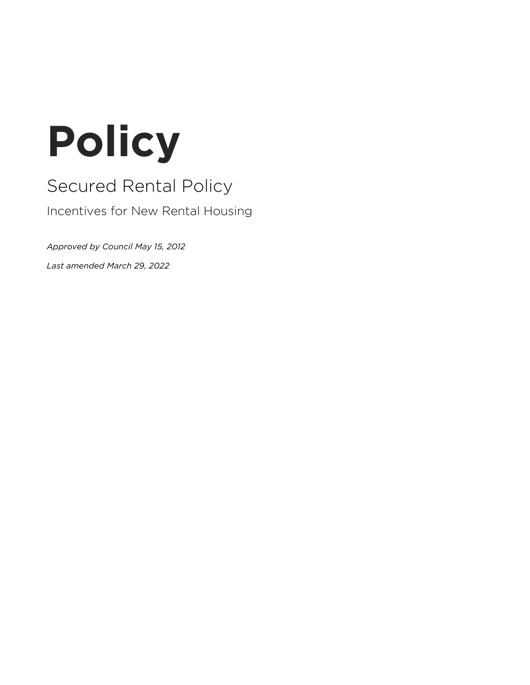# **Policy**

# Secured Rental Policy

Incentives for New Rental Housing

*Approved by Council May 15, 2012*

*Last amended March 29, 2022*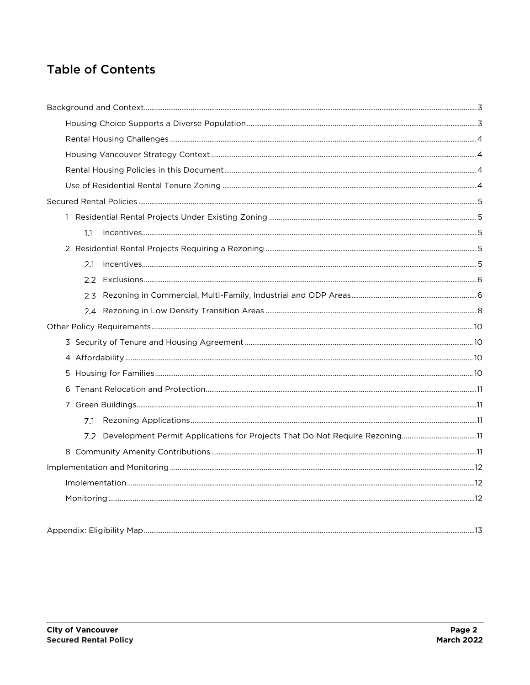# **Table of Contents**

<span id="page-1-0"></span>

| 1.1                                                                             |  |  |  |
|---------------------------------------------------------------------------------|--|--|--|
|                                                                                 |  |  |  |
| 2.1                                                                             |  |  |  |
|                                                                                 |  |  |  |
| 2.3                                                                             |  |  |  |
|                                                                                 |  |  |  |
|                                                                                 |  |  |  |
|                                                                                 |  |  |  |
|                                                                                 |  |  |  |
| 5                                                                               |  |  |  |
| 6                                                                               |  |  |  |
|                                                                                 |  |  |  |
| 7.1                                                                             |  |  |  |
| 7.2 Development Permit Applications for Projects That Do Not Require Rezoning11 |  |  |  |
|                                                                                 |  |  |  |
|                                                                                 |  |  |  |
|                                                                                 |  |  |  |
|                                                                                 |  |  |  |
|                                                                                 |  |  |  |
|                                                                                 |  |  |  |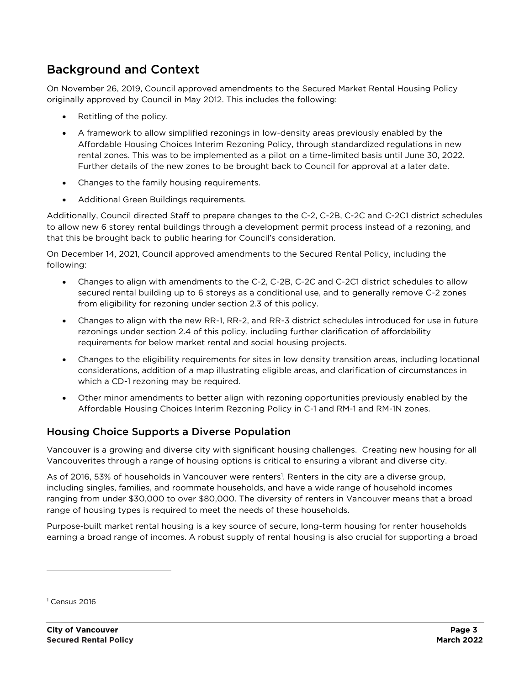# Background and Context

On November 26, 2019, Council approved amendments to the Secured Market Rental Housing Policy originally approved by Council in May 2012. This includes the following:

- Retitling of the policy.
- A framework to allow simplified rezonings in low-density areas previously enabled by the Affordable Housing Choices Interim Rezoning Policy, through standardized regulations in new rental zones. This was to be implemented as a pilot on a time-limited basis until June 30, 2022. Further details of the new zones to be brought back to Council for approval at a later date.
- Changes to the family housing requirements.
- Additional Green Buildings requirements.

Additionally, Council directed Staff to prepare changes to the C-2, C-2B, C-2C and C-2C1 district schedules to allow new 6 storey rental buildings through a development permit process instead of a rezoning, and that this be brought back to public hearing for Council's consideration.

On December 14, 2021, Council approved amendments to the Secured Rental Policy, including the following:

- Changes to align with amendments to the C-2, C-2B, C-2C and C-2C1 district schedules to allow secured rental building up to 6 storeys as a conditional use, and to generally remove C-2 zones from eligibility for rezoning under section 2.3 of this policy.
- Changes to align with the new RR-1, RR-2, and RR-3 district schedules introduced for use in future rezonings under section 2.4 of this policy, including further clarification of affordability requirements for below market rental and social housing projects.
- Changes to the eligibility requirements for sites in low density transition areas, including locational considerations, addition of a map illustrating eligible areas, and clarification of circumstances in which a CD-1 rezoning may be required.
- Other minor amendments to better align with rezoning opportunities previously enabled by the Affordable Housing Choices Interim Rezoning Policy in C-1 and RM-1 and RM-1N zones.

## <span id="page-2-0"></span>Housing Choice Supports a Diverse Population

Vancouver is a growing and diverse city with significant housing challenges. Creating new housing for all Vancouverites through a range of housing options is critical to ensuring a vibrant and diverse city.

As of 2016, 53% of households in Vancouver were renters<sup>1</sup>. Renters in the city are a diverse group, including singles, families, and roommate households, and have a wide range of household incomes ranging from under \$30,000 to over \$80,000. The diversity of renters in Vancouver means that a broad range of housing types is required to meet the needs of these households.

Purpose-built market rental housing is a key source of secure, long-term housing for renter households earning a broad range of incomes. A robust supply of rental housing is also crucial for supporting a broad

 $<sup>1</sup>$  Census 2016</sup>

 $\overline{a}$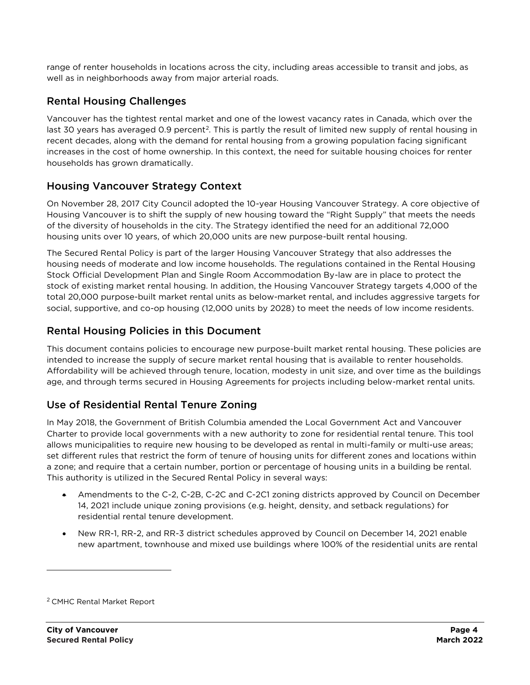range of renter households in locations across the city, including areas accessible to transit and jobs, as well as in neighborhoods away from major arterial roads.

# <span id="page-3-0"></span>Rental Housing Challenges

Vancouver has the tightest rental market and one of the lowest vacancy rates in Canada, which over the last 30 years has averaged 0.9 percent<sup>2</sup>. This is partly the result of limited new supply of rental housing in recent decades, along with the demand for rental housing from a growing population facing significant increases in the cost of home ownership. In this context, the need for suitable housing choices for renter households has grown dramatically.

# <span id="page-3-1"></span>Housing Vancouver Strategy Context

On November 28, 2017 City Council adopted the 10-year Housing Vancouver Strategy. A core objective of Housing Vancouver is to shift the supply of new housing toward the "Right Supply" that meets the needs of the diversity of households in the city. The Strategy identified the need for an additional 72,000 housing units over 10 years, of which 20,000 units are new purpose-built rental housing.

The Secured Rental Policy is part of the larger Housing Vancouver Strategy that also addresses the housing needs of moderate and low income households. The regulations contained in the Rental Housing Stock Official Development Plan and Single Room Accommodation By-law are in place to protect the stock of existing market rental housing. In addition, the Housing Vancouver Strategy targets 4,000 of the total 20,000 purpose-built market rental units as below-market rental, and includes aggressive targets for social, supportive, and co-op housing (12,000 units by 2028) to meet the needs of low income residents.

# <span id="page-3-2"></span>Rental Housing Policies in this Document

This document contains policies to encourage new purpose-built market rental housing. These policies are intended to increase the supply of secure market rental housing that is available to renter households. Affordability will be achieved through tenure, location, modesty in unit size, and over time as the buildings age, and through terms secured in Housing Agreements for projects including below-market rental units.

# <span id="page-3-3"></span>Use of Residential Rental Tenure Zoning

In May 2018, the Government of British Columbia amended the Local Government Act and Vancouver Charter to provide local governments with a new authority to zone for residential rental tenure. This tool allows municipalities to require new housing to be developed as rental in multi-family or multi-use areas; set different rules that restrict the form of tenure of housing units for different zones and locations within a zone; and require that a certain number, portion or percentage of housing units in a building be rental. This authority is utilized in the Secured Rental Policy in several ways:

- Amendments to the C-2, C-2B, C-2C and C-2C1 zoning districts approved by Council on December 14, 2021 include unique zoning provisions (e.g. height, density, and setback regulations) for residential rental tenure development.
- New RR-1, RR-2, and RR-3 district schedules approved by Council on December 14, 2021 enable new apartment, townhouse and mixed use buildings where 100% of the residential units are rental

 $\overline{a}$ 

<sup>2</sup> CMHC Rental Market Report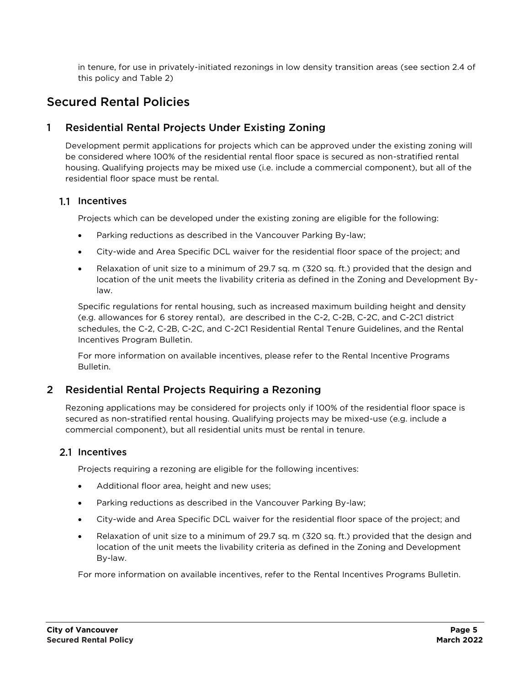in tenure, for use in privately-initiated rezonings in low density transition areas (see section [2.4](#page-7-0) of this policy and Table 2)

# <span id="page-4-0"></span>Secured Rental Policies

# <span id="page-4-1"></span>1 Residential Rental Projects Under Existing Zoning

Development permit applications for projects which can be approved under the existing zoning will be considered where 100% of the residential rental floor space is secured as non-stratified rental housing. Qualifying projects may be mixed use (i.e. include a commercial component), but all of the residential floor space must be rental.

#### <span id="page-4-2"></span>1.1 Incentives

Projects which can be developed under the existing zoning are eligible for the following:

- Parking reductions as described in the Vancouver Parking By-law;
- City-wide and Area Specific DCL waiver for the residential floor space of the project; and
- Relaxation of unit size to a minimum of 29.7 sq. m (320 sq. ft.) provided that the design and location of the unit meets the livability criteria as defined in the Zoning and Development Bylaw.

Specific regulations for rental housing, such as increased maximum building height and density (e.g. allowances for 6 storey rental), are described in the C-2, C-2B, C-2C, and C-2C1 district schedules, the C-2, C-2B, C-2C, and C-2C1 Residential Rental Tenure Guidelines, and the Rental Incentives Program Bulletin.

For more information on available incentives, please refer to the Rental Incentive Programs Bulletin.

## <span id="page-4-3"></span>2 Residential Rental Projects Requiring a Rezoning

Rezoning applications may be considered for projects only if 100% of the residential floor space is secured as non-stratified rental housing. Qualifying projects may be mixed-use (e.g. include a commercial component), but all residential units must be rental in tenure.

#### <span id="page-4-4"></span>2.1 Incentives

Projects requiring a rezoning are eligible for the following incentives:

- Additional floor area, height and new uses;
- Parking reductions as described in the Vancouver Parking By-law;
- City-wide and Area Specific DCL waiver for the residential floor space of the project; and
- Relaxation of unit size to a minimum of 29.7 sq. m (320 sq. ft.) provided that the design and location of the unit meets the livability criteria as defined in the Zoning and Development By-law.

For more information on available incentives, refer to the Rental Incentives Programs Bulletin.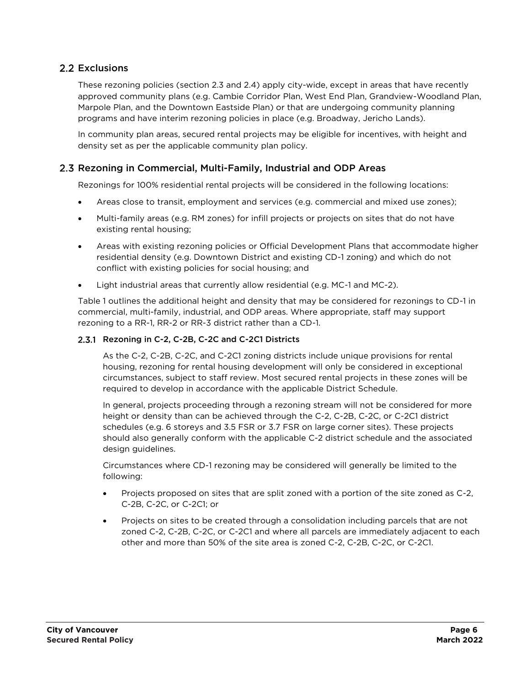#### <span id="page-5-0"></span>2.2 Exclusions

These rezoning policies (section [2.3](#page-5-1) and [2.4\)](#page-7-0) apply city-wide, except in areas that have recently approved community plans (e.g. Cambie Corridor Plan, West End Plan, Grandview-Woodland Plan, Marpole Plan, and the Downtown Eastside Plan) or that are undergoing community planning programs and have interim rezoning policies in place (e.g. Broadway, Jericho Lands).

In community plan areas, secured rental projects may be eligible for incentives, with height and density set as per the applicable community plan policy.

#### <span id="page-5-1"></span>2.3 Rezoning in Commercial, Multi-Family, Industrial and ODP Areas

Rezonings for 100% residential rental projects will be considered in the following locations:

- Areas close to transit, employment and services (e.g. commercial and mixed use zones);
- Multi-family areas (e.g. RM zones) for infill projects or projects on sites that do not have existing rental housing;
- Areas with existing rezoning policies or Official Development Plans that accommodate higher residential density (e.g. Downtown District and existing CD-1 zoning) and which do not conflict with existing policies for social housing; and
- Light industrial areas that currently allow residential (e.g. MC-1 and MC-2).

Table 1 outlines the additional height and density that may be considered for rezonings to CD-1 in commercial, multi-family, industrial, and ODP areas. Where appropriate, staff may support rezoning to a RR-1, RR-2 or RR-3 district rather than a CD-1.

#### <span id="page-5-2"></span>2.3.1 Rezoning in C-2, C-2B, C-2C and C-2C1 Districts

As the C-2, C-2B, C-2C, and C-2C1 zoning districts include unique provisions for rental housing, rezoning for rental housing development will only be considered in exceptional circumstances, subject to staff review. Most secured rental projects in these zones will be required to develop in accordance with the applicable District Schedule.

In general, projects proceeding through a rezoning stream will not be considered for more height or density than can be achieved through the C-2, C-2B, C-2C, or C-2C1 district schedules (e.g. 6 storeys and 3.5 FSR or 3.7 FSR on large corner sites). These projects should also generally conform with the applicable C-2 district schedule and the associated design guidelines.

Circumstances where CD-1 rezoning may be considered will generally be limited to the following:

- Projects proposed on sites that are split zoned with a portion of the site zoned as C-2, C-2B, C-2C, or C-2C1; or
- Projects on sites to be created through a consolidation including parcels that are not zoned C-2, C-2B, C-2C, or C-2C1 and where all parcels are immediately adjacent to each other and more than 50% of the site area is zoned C-2, C-2B, C-2C, or C-2C1.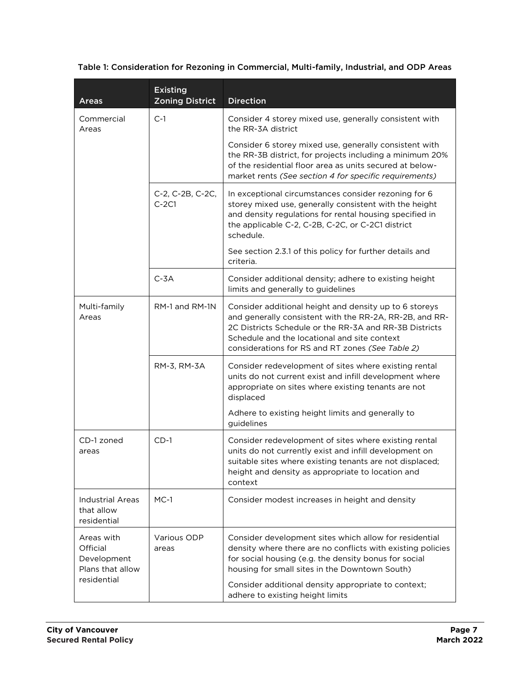#### Table 1: Consideration for Rezoning in Commercial, Multi-family, Industrial, and ODP Areas

| <b>Areas</b>                                                             | <b>Existing</b><br><b>Zoning District</b> | <b>Direction</b>                                                                                                                                                                                                                                                                |
|--------------------------------------------------------------------------|-------------------------------------------|---------------------------------------------------------------------------------------------------------------------------------------------------------------------------------------------------------------------------------------------------------------------------------|
| Commercial<br>Areas                                                      | $C-1$                                     | Consider 4 storey mixed use, generally consistent with<br>the RR-3A district                                                                                                                                                                                                    |
|                                                                          |                                           | Consider 6 storey mixed use, generally consistent with<br>the RR-3B district, for projects including a minimum 20%<br>of the residential floor area as units secured at below-<br>market rents (See section 4 for specific requirements)                                        |
|                                                                          | C-2, C-2B, C-2C,<br>$C-2C1$               | In exceptional circumstances consider rezoning for 6<br>storey mixed use, generally consistent with the height<br>and density regulations for rental housing specified in<br>the applicable C-2, C-2B, C-2C, or C-2C1 district<br>schedule.                                     |
|                                                                          |                                           | See section 2.3.1 of this policy for further details and<br>criteria.                                                                                                                                                                                                           |
|                                                                          | $C-3A$                                    | Consider additional density; adhere to existing height<br>limits and generally to guidelines                                                                                                                                                                                    |
| Multi-family<br>Areas                                                    | RM-1 and RM-1N                            | Consider additional height and density up to 6 storeys<br>and generally consistent with the RR-2A, RR-2B, and RR-<br>2C Districts Schedule or the RR-3A and RR-3B Districts<br>Schedule and the locational and site context<br>considerations for RS and RT zones (See Table 2) |
|                                                                          | RM-3, RM-3A                               | Consider redevelopment of sites where existing rental<br>units do not current exist and infill development where<br>appropriate on sites where existing tenants are not<br>displaced                                                                                            |
|                                                                          |                                           | Adhere to existing height limits and generally to<br>guidelines                                                                                                                                                                                                                 |
| CD-1 zoned<br>areas                                                      | $CD-1$                                    | Consider redevelopment of sites where existing rental<br>units do not currently exist and infill development on<br>suitable sites where existing tenants are not displaced;<br>height and density as appropriate to location and<br>context                                     |
| Industrial Areas<br>that allow<br>residential                            | $MC-1$                                    | Consider modest increases in height and density                                                                                                                                                                                                                                 |
| Areas with<br>Official<br>Development<br>Plans that allow<br>residential | Various ODP<br>areas                      | Consider development sites which allow for residential<br>density where there are no conflicts with existing policies<br>for social housing (e.g. the density bonus for social<br>housing for small sites in the Downtown South)                                                |
|                                                                          |                                           | Consider additional density appropriate to context;<br>adhere to existing height limits                                                                                                                                                                                         |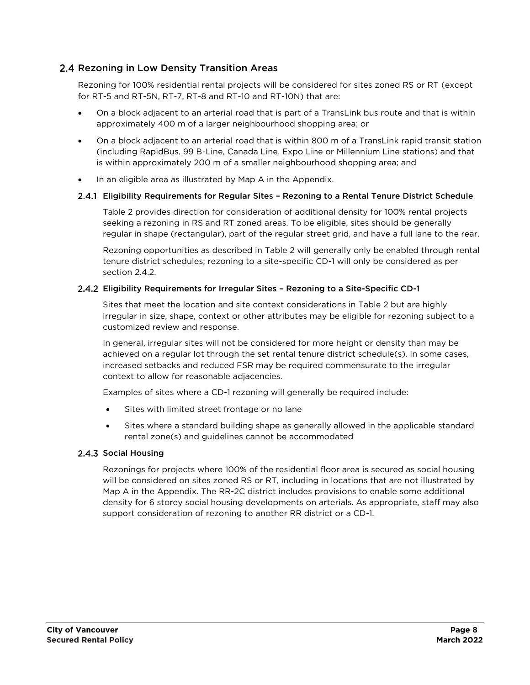#### <span id="page-7-0"></span>2.4 Rezoning in Low Density Transition Areas

Rezoning for 100% residential rental projects will be considered for sites zoned RS or RT (except for RT-5 and RT-5N, RT-7, RT-8 and RT-10 and RT-10N) that are:

- On a block adjacent to an arterial road that is part of a TransLink bus route and that is within approximately 400 m of a larger neighbourhood shopping area; or
- On a block adjacent to an arterial road that is within 800 m of a TransLink rapid transit station (including RapidBus, 99 B-Line, Canada Line, Expo Line or Millennium Line stations) and that is within approximately 200 m of a smaller neighbourhood shopping area; and
- In an eligible area as illustrated by Map A in the Appendix.

#### Eligibility Requirements for Regular Sites – Rezoning to a Rental Tenure District Schedule

Table 2 provides direction for consideration of additional density for 100% rental projects seeking a rezoning in RS and RT zoned areas. To be eligible, sites should be generally regular in shape (rectangular), part of the regular street grid, and have a full lane to the rear.

Rezoning opportunities as described in Table 2 will generally only be enabled through rental tenure district schedules; rezoning to a site-specific CD-1 will only be considered as per section [2.4.2.](#page-7-1)

#### <span id="page-7-1"></span>Eligibility Requirements for Irregular Sites – Rezoning to a Site-Specific CD-1

Sites that meet the location and site context considerations in Table 2 but are highly irregular in size, shape, context or other attributes may be eligible for rezoning subject to a customized review and response.

In general, irregular sites will not be considered for more height or density than may be achieved on a regular lot through the set rental tenure district schedule(s). In some cases, increased setbacks and reduced FSR may be required commensurate to the irregular context to allow for reasonable adjacencies.

Examples of sites where a CD-1 rezoning will generally be required include:

- Sites with limited street frontage or no lane
- Sites where a standard building shape as generally allowed in the applicable standard rental zone(s) and guidelines cannot be accommodated

#### 2.4.3 Social Housing

Rezonings for projects where 100% of the residential floor area is secured as social housing will be considered on sites zoned RS or RT, including in locations that are not illustrated by Map A in the Appendix. The RR-2C district includes provisions to enable some additional density for 6 storey social housing developments on arterials. As appropriate, staff may also support consideration of rezoning to another RR district or a CD-1.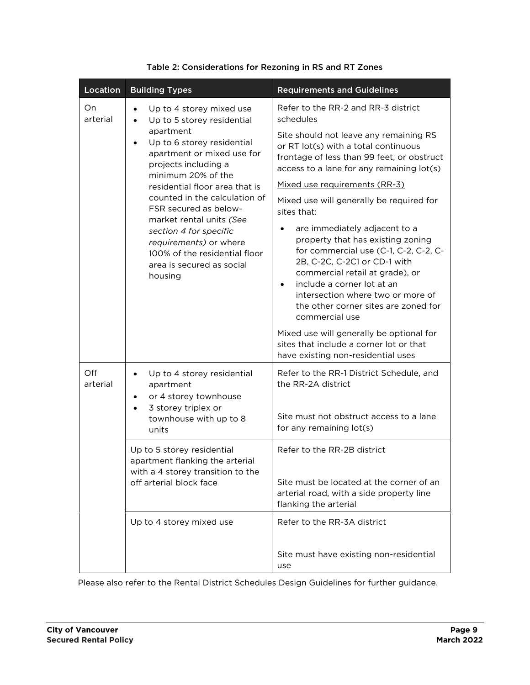| Location        | <b>Building Types</b>                                                                                                                                                                                                                                                                                                                                                                                                                                                     | <b>Requirements and Guidelines</b>                                                                                                                                                                                                                                                                                                                                                                                                                                                                                                                                                                                                                                                                                                                        |
|-----------------|---------------------------------------------------------------------------------------------------------------------------------------------------------------------------------------------------------------------------------------------------------------------------------------------------------------------------------------------------------------------------------------------------------------------------------------------------------------------------|-----------------------------------------------------------------------------------------------------------------------------------------------------------------------------------------------------------------------------------------------------------------------------------------------------------------------------------------------------------------------------------------------------------------------------------------------------------------------------------------------------------------------------------------------------------------------------------------------------------------------------------------------------------------------------------------------------------------------------------------------------------|
| On<br>arterial  | Up to 4 storey mixed use<br>$\bullet$<br>Up to 5 storey residential<br>$\bullet$<br>apartment<br>Up to 6 storey residential<br>$\bullet$<br>apartment or mixed use for<br>projects including a<br>minimum 20% of the<br>residential floor area that is<br>counted in the calculation of<br>FSR secured as below-<br>market rental units (See<br>section 4 for specific<br>requirements) or where<br>100% of the residential floor<br>area is secured as social<br>housing | Refer to the RR-2 and RR-3 district<br>schedules<br>Site should not leave any remaining RS<br>or RT lot(s) with a total continuous<br>frontage of less than 99 feet, or obstruct<br>access to a lane for any remaining lot(s)<br>Mixed use requirements (RR-3)<br>Mixed use will generally be required for<br>sites that:<br>are immediately adjacent to a<br>$\bullet$<br>property that has existing zoning<br>for commercial use (C-1, C-2, C-2, C-<br>2B, C-2C, C-2C1 or CD-1 with<br>commercial retail at grade), or<br>include a corner lot at an<br>$\bullet$<br>intersection where two or more of<br>the other corner sites are zoned for<br>commercial use<br>Mixed use will generally be optional for<br>sites that include a corner lot or that |
| Off<br>arterial | Up to 4 storey residential<br>٠<br>apartment<br>or 4 storey townhouse<br>$\bullet$<br>3 storey triplex or<br>townhouse with up to 8<br>units<br>Up to 5 storey residential<br>apartment flanking the arterial<br>with a 4 storey transition to the<br>off arterial block face                                                                                                                                                                                             | have existing non-residential uses<br>Refer to the RR-1 District Schedule, and<br>the RR-2A district<br>Site must not obstruct access to a lane<br>for any remaining lot(s)<br>Refer to the RR-2B district<br>Site must be located at the corner of an<br>arterial road, with a side property line<br>flanking the arterial                                                                                                                                                                                                                                                                                                                                                                                                                               |
|                 | Up to 4 storey mixed use                                                                                                                                                                                                                                                                                                                                                                                                                                                  | Refer to the RR-3A district<br>Site must have existing non-residential<br>use                                                                                                                                                                                                                                                                                                                                                                                                                                                                                                                                                                                                                                                                             |

#### Table 2: Considerations for Rezoning in RS and RT Zones

Please also refer to the Rental District Schedules Design Guidelines for further guidance.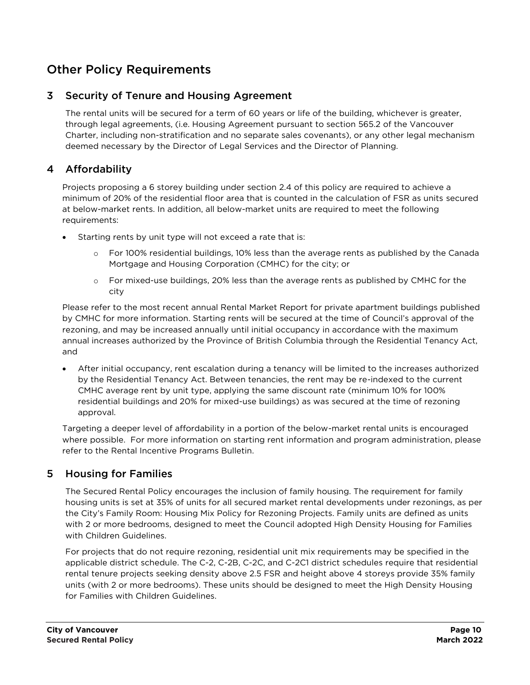# <span id="page-9-0"></span>Other Policy Requirements

## <span id="page-9-1"></span>3 Security of Tenure and Housing Agreement

The rental units will be secured for a term of 60 years or life of the building, whichever is greater, through legal agreements, (i.e. Housing Agreement pursuant to section 565.2 of the Vancouver Charter, including non-stratification and no separate sales covenants), or any other legal mechanism deemed necessary by the Director of Legal Services and the Director of Planning.

## <span id="page-9-2"></span>4 Affordability

Projects proposing a 6 storey building under section [2.4](#page-7-0) of this policy are required to achieve a minimum of 20% of the residential floor area that is counted in the calculation of FSR as units secured at below-market rents. In addition, all below-market units are required to meet the following requirements:

- Starting rents by unit type will not exceed a rate that is:
	- o For 100% residential buildings, 10% less than the average rents as published by the Canada Mortgage and Housing Corporation (CMHC) for the city; or
	- o For mixed-use buildings, 20% less than the average rents as published by CMHC for the city

Please refer to the most recent annual Rental Market Report for private apartment buildings published by CMHC for more information. Starting rents will be secured at the time of Council's approval of the rezoning, and may be increased annually until initial occupancy in accordance with the maximum annual increases authorized by the Province of British Columbia through the Residential Tenancy Act, and

 After initial occupancy, rent escalation during a tenancy will be limited to the increases authorized by the Residential Tenancy Act. Between tenancies, the rent may be re-indexed to the current CMHC average rent by unit type, applying the same discount rate (minimum 10% for 100% residential buildings and 20% for mixed-use buildings) as was secured at the time of rezoning approval.

Targeting a deeper level of affordability in a portion of the below-market rental units is encouraged where possible. For more information on starting rent information and program administration, please refer to the Rental Incentive Programs Bulletin.

## <span id="page-9-3"></span>5 Housing for Families

The Secured Rental Policy encourages the inclusion of family housing. The requirement for family housing units is set at 35% of units for all secured market rental developments under rezonings, as per the City's Family Room: Housing Mix Policy for Rezoning Projects. Family units are defined as units with 2 or more bedrooms, designed to meet the Council adopted High Density Housing for Families with Children Guidelines.

For projects that do not require rezoning, residential unit mix requirements may be specified in the applicable district schedule. The C-2, C-2B, C-2C, and C-2C1 district schedules require that residential rental tenure projects seeking density above 2.5 FSR and height above 4 storeys provide 35% family units (with 2 or more bedrooms). These units should be designed to meet the High Density Housing for Families with Children Guidelines.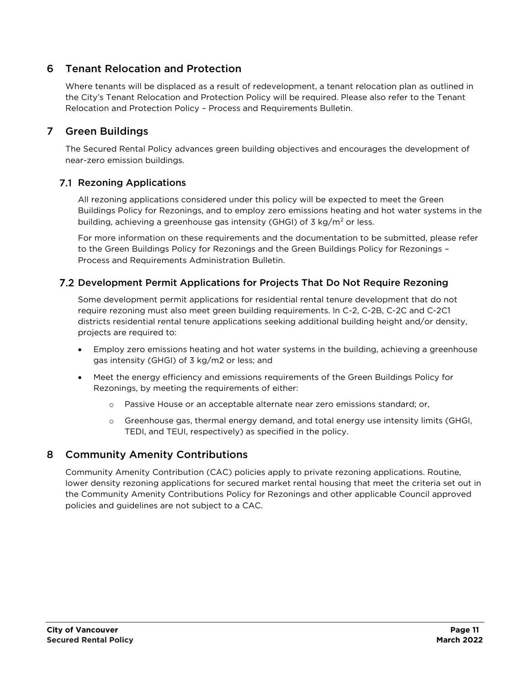# <span id="page-10-0"></span>6 Tenant Relocation and Protection

Where tenants will be displaced as a result of redevelopment, a tenant relocation plan as outlined in the City's Tenant Relocation and Protection Policy will be required. Please also refer to the Tenant Relocation and Protection Policy – Process and Requirements Bulletin.

# <span id="page-10-1"></span>7 Green Buildings

The Secured Rental Policy advances green building objectives and encourages the development of near-zero emission buildings.

## <span id="page-10-2"></span>7.1 Rezoning Applications

All rezoning applications considered under this policy will be expected to meet the Green Buildings Policy for Rezonings, and to employ zero emissions heating and hot water systems in the building, achieving a greenhouse gas intensity (GHGI) of  $3 \text{ kg/m}^2$  or less.

For more information on these requirements and the documentation to be submitted, please refer to the Green Buildings Policy for Rezonings and the Green Buildings Policy for Rezonings – Process and Requirements Administration Bulletin.

#### <span id="page-10-3"></span>Development Permit Applications for Projects That Do Not Require Rezoning

Some development permit applications for residential rental tenure development that do not require rezoning must also meet green building requirements. In C-2, C-2B, C-2C and C-2C1 districts residential rental tenure applications seeking additional building height and/or density, projects are required to:

- Employ zero emissions heating and hot water systems in the building, achieving a greenhouse gas intensity (GHGI) of 3 kg/m2 or less; and
- Meet the energy efficiency and emissions requirements of the Green Buildings Policy for Rezonings, by meeting the requirements of either:
	- o Passive House or an acceptable alternate near zero emissions standard; or,
	- o Greenhouse gas, thermal energy demand, and total energy use intensity limits (GHGI, TEDI, and TEUI, respectively) as specified in the policy.

## <span id="page-10-4"></span>8 Community Amenity Contributions

Community Amenity Contribution (CAC) policies apply to private rezoning applications. Routine, lower density rezoning applications for secured market rental housing that meet the criteria set out in the Community Amenity Contributions Policy for Rezonings and other applicable Council approved policies and guidelines are not subject to a CAC.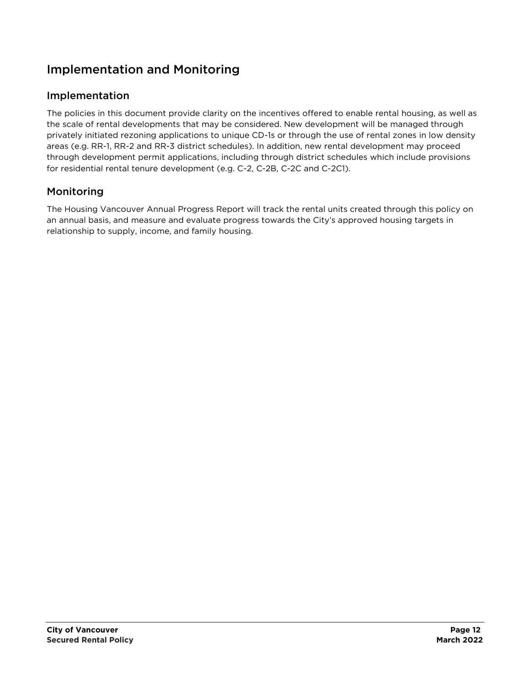# <span id="page-11-0"></span>Implementation and Monitoring

# <span id="page-11-1"></span>Implementation

The policies in this document provide clarity on the incentives offered to enable rental housing, as well as the scale of rental developments that may be considered. New development will be managed through privately initiated rezoning applications to unique CD-1s or through the use of rental zones in low density areas (e.g. RR-1, RR-2 and RR-3 district schedules). In addition, new rental development may proceed through development permit applications, including through district schedules which include provisions for residential rental tenure development (e.g. C-2, C-2B, C-2C and C-2C1).

# <span id="page-11-2"></span>Monitoring

The Housing Vancouver Annual Progress Report will track the rental units created through this policy on an annual basis, and measure and evaluate progress towards the City's approved housing targets in relationship to supply, income, and family housing.